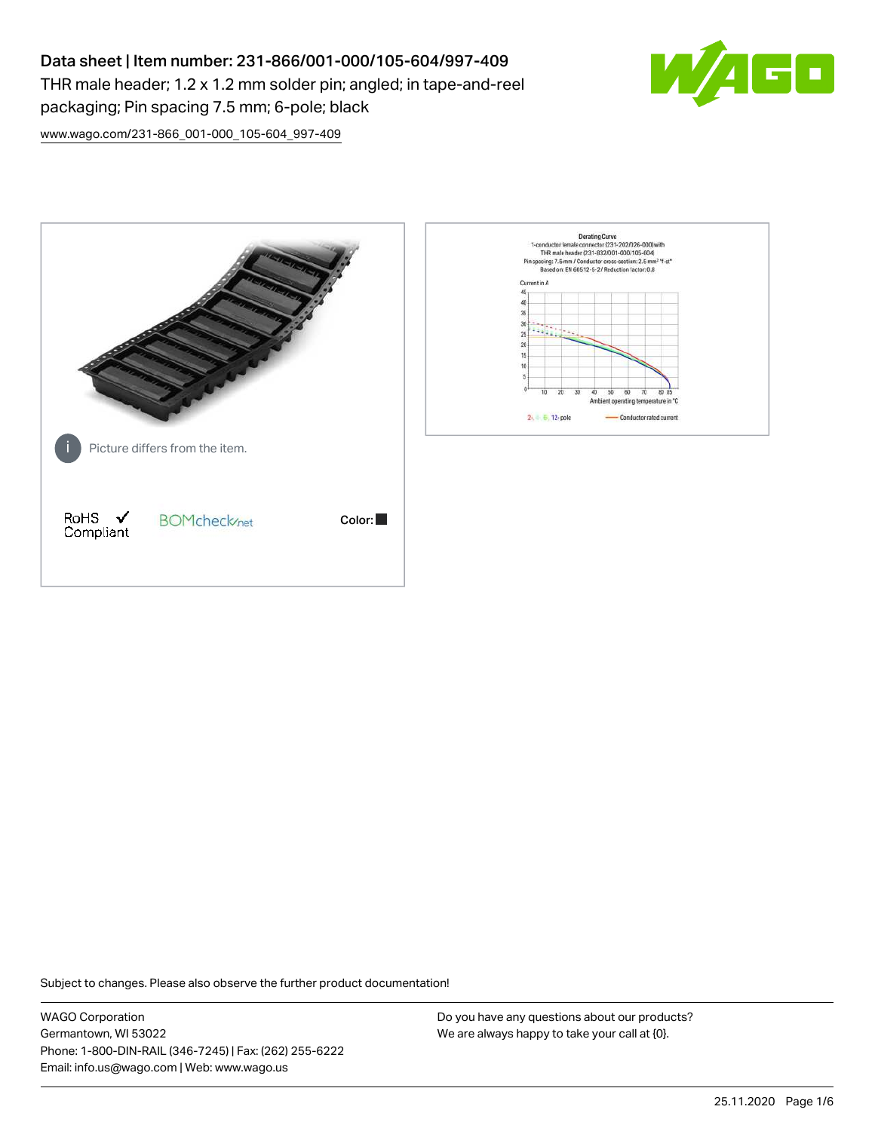# Data sheet | Item number: 231-866/001-000/105-604/997-409

THR male header; 1.2 x 1.2 mm solder pin; angled; in tape-and-reel packaging; Pin spacing 7.5 mm; 6-pole; black



[www.wago.com/231-866\\_001-000\\_105-604\\_997-409](http://www.wago.com/231-866_001-000_105-604_997-409)



Subject to changes. Please also observe the further product documentation!

WAGO Corporation Germantown, WI 53022 Phone: 1-800-DIN-RAIL (346-7245) | Fax: (262) 255-6222 Email: info.us@wago.com | Web: www.wago.us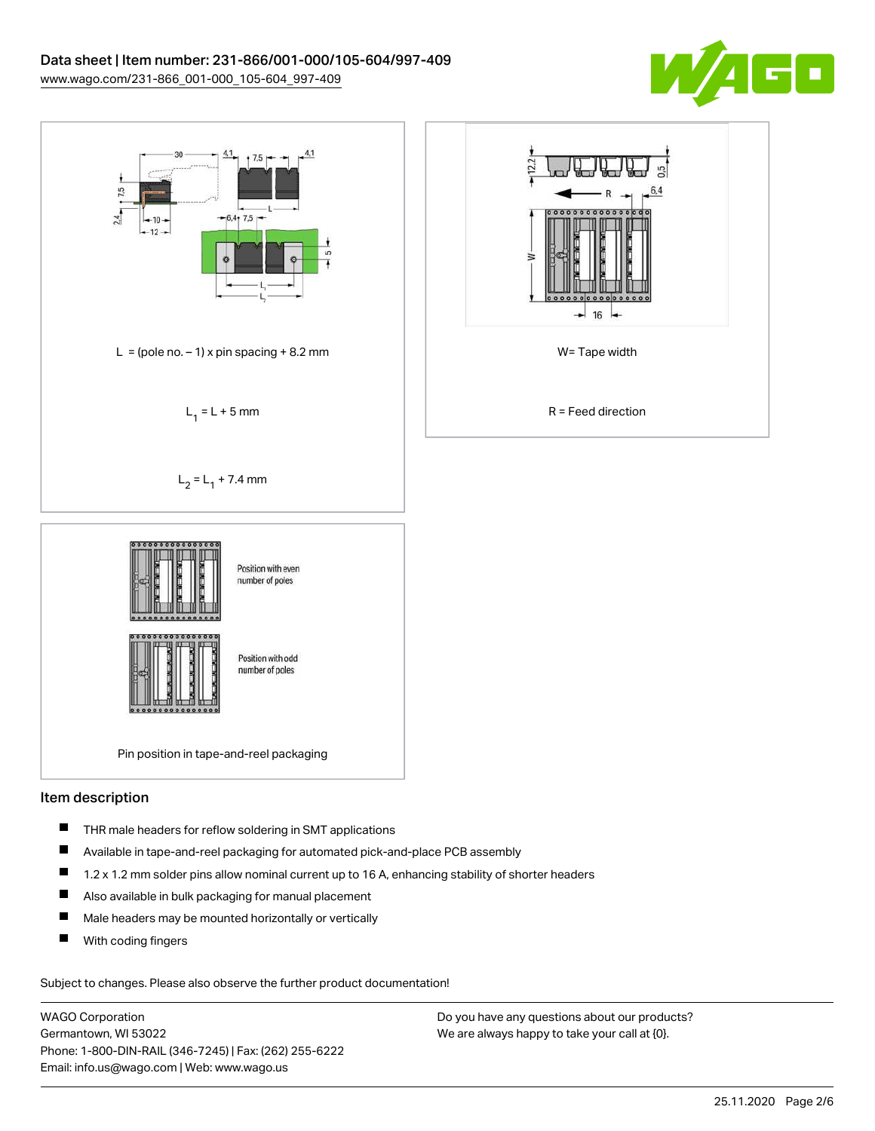



# Item description

- $\blacksquare$ THR male headers for reflow soldering in SMT applications
- $\blacksquare$ Available in tape-and-reel packaging for automated pick-and-place PCB assembly
- $\blacksquare$ 1.2 x 1.2 mm solder pins allow nominal current up to 16 A, enhancing stability of shorter headers
- $\blacksquare$ Also available in bulk packaging for manual placement
- $\blacksquare$ Male headers may be mounted horizontally or vertically
- П With coding fingers

Subject to changes. Please also observe the further product documentation!

WAGO Corporation Germantown, WI 53022 Phone: 1-800-DIN-RAIL (346-7245) | Fax: (262) 255-6222 Email: info.us@wago.com | Web: www.wago.us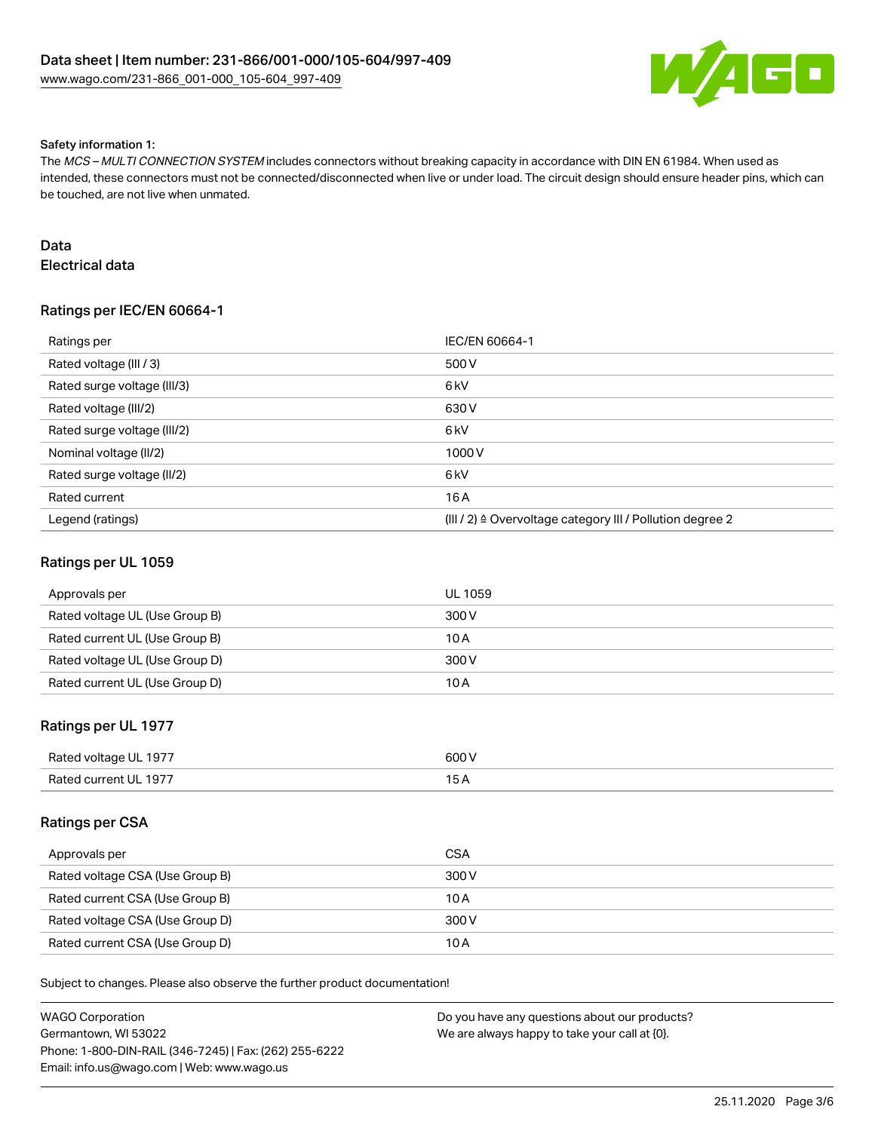

#### Safety information 1:

The MCS – MULTI CONNECTION SYSTEM includes connectors without breaking capacity in accordance with DIN EN 61984. When used as intended, these connectors must not be connected/disconnected when live or under load. The circuit design should ensure header pins, which can be touched, are not live when unmated.

### Data

Electrical data

# Ratings per IEC/EN 60664-1

| Ratings per                 | IEC/EN 60664-1                                                       |
|-----------------------------|----------------------------------------------------------------------|
| Rated voltage (III / 3)     | 500 V                                                                |
| Rated surge voltage (III/3) | 6 <sub>kV</sub>                                                      |
| Rated voltage (III/2)       | 630 V                                                                |
| Rated surge voltage (III/2) | 6 kV                                                                 |
| Nominal voltage (II/2)      | 1000V                                                                |
| Rated surge voltage (II/2)  | 6 kV                                                                 |
| Rated current               | 16 A                                                                 |
| Legend (ratings)            | (III / 2) $\triangleq$ Overvoltage category III / Pollution degree 2 |

#### Ratings per UL 1059

| Approvals per                  | <b>UL 1059</b> |
|--------------------------------|----------------|
| Rated voltage UL (Use Group B) | 300 V          |
| Rated current UL (Use Group B) | 10 A           |
| Rated voltage UL (Use Group D) | 300 V          |
| Rated current UL (Use Group D) | 10 A           |

### Ratings per UL 1977

| Rated voltage UL 1977 | 600V |
|-----------------------|------|
| Rated current UL 1977 |      |

#### Ratings per CSA

| Approvals per                   | <b>CSA</b> |
|---------------------------------|------------|
| Rated voltage CSA (Use Group B) | 300 V      |
| Rated current CSA (Use Group B) | 10 A       |
| Rated voltage CSA (Use Group D) | 300 V      |
| Rated current CSA (Use Group D) | 10 A       |

Subject to changes. Please also observe the further product documentation!

| WAGO Corporation                                       | Do you have any questions about our products? |
|--------------------------------------------------------|-----------------------------------------------|
| Germantown. WI 53022                                   | We are always happy to take your call at {0}. |
| Phone: 1-800-DIN-RAIL (346-7245)   Fax: (262) 255-6222 |                                               |
| Email: info.us@wago.com   Web: www.wago.us             |                                               |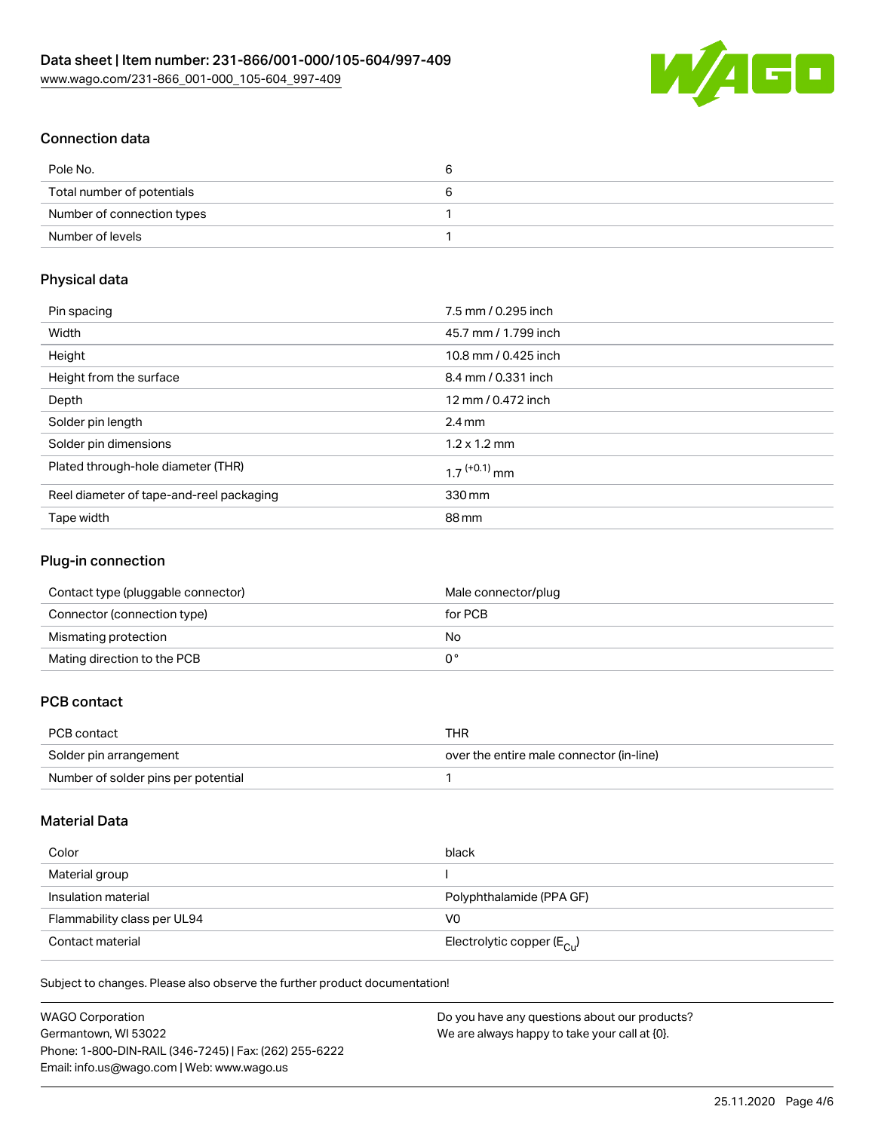

# Connection data

| Pole No.                   |  |
|----------------------------|--|
| Total number of potentials |  |
| Number of connection types |  |
| Number of levels           |  |

### Physical data

| Pin spacing                              | 7.5 mm / 0.295 inch        |
|------------------------------------------|----------------------------|
| Width                                    | 45.7 mm / 1.799 inch       |
| Height                                   | 10.8 mm / 0.425 inch       |
| Height from the surface                  | 8.4 mm / 0.331 inch        |
| Depth                                    | 12 mm / 0.472 inch         |
| Solder pin length                        | $2.4 \text{ mm}$           |
| Solder pin dimensions                    | $1.2 \times 1.2$ mm        |
| Plated through-hole diameter (THR)       | $1.7$ <sup>(+0.1)</sup> mm |
| Reel diameter of tape-and-reel packaging | 330 mm                     |
| Tape width                               | 88 mm                      |

### Plug-in connection

| Contact type (pluggable connector) | Male connector/plug |
|------------------------------------|---------------------|
| Connector (connection type)        | for PCB             |
| Mismating protection               | No                  |
| Mating direction to the PCB        |                     |

# PCB contact

| PCB contact                         | THR                                      |
|-------------------------------------|------------------------------------------|
| Solder pin arrangement              | over the entire male connector (in-line) |
| Number of solder pins per potential |                                          |

# Material Data

| Color                       | black                                   |
|-----------------------------|-----------------------------------------|
| Material group              |                                         |
| Insulation material         | Polyphthalamide (PPA GF)                |
| Flammability class per UL94 | V0                                      |
| Contact material            | Electrolytic copper ( $E_{\text{Cu}}$ ) |

Subject to changes. Please also observe the further product documentation!

| WAGO Corporation                                       | Do you have any questions about our products? |
|--------------------------------------------------------|-----------------------------------------------|
| Germantown, WI 53022                                   | We are always happy to take your call at {0}. |
| Phone: 1-800-DIN-RAIL (346-7245)   Fax: (262) 255-6222 |                                               |
| Email: info.us@wago.com   Web: www.wago.us             |                                               |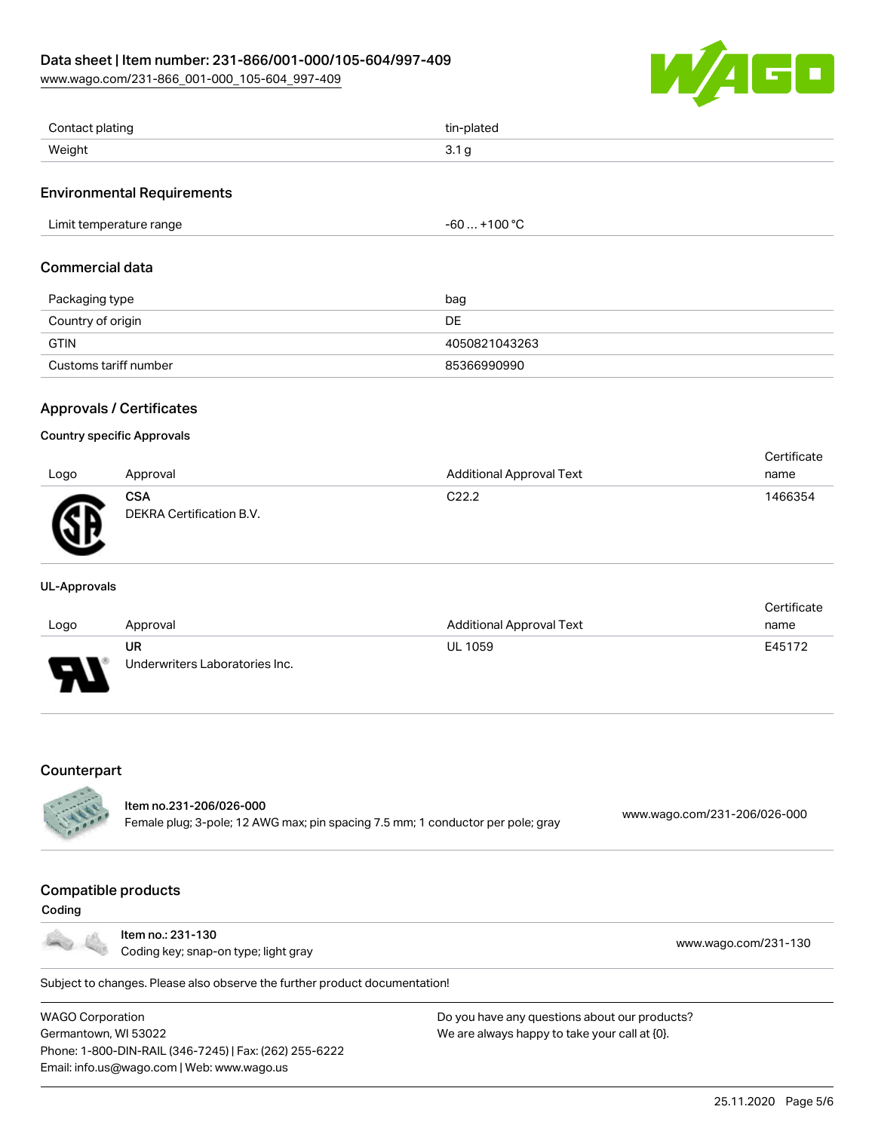[www.wago.com/231-866\\_001-000\\_105-604\\_997-409](http://www.wago.com/231-866_001-000_105-604_997-409)



| Contact plating        | tin-plated |
|------------------------|------------|
| Weight<br>ົ<br><u></u> |            |

### Environmental Requirements

| Limit temperature range | 1000c<br>. UU +<br>-ou<br>. .<br>___<br>$-$ |
|-------------------------|---------------------------------------------|
|-------------------------|---------------------------------------------|

#### Commercial data

| Packaging type        | bag           |
|-----------------------|---------------|
| Country of origin     | DE            |
| <b>GTIN</b>           | 4050821043263 |
| Customs tariff number | 85366990990   |

# Approvals / Certificates

#### Country specific Approvals

|      |                                        |                                 | Certificate |
|------|----------------------------------------|---------------------------------|-------------|
| Logo | Approval                               | <b>Additional Approval Text</b> | name        |
| ЛR   | <b>CSA</b><br>DEKRA Certification B.V. | C <sub>22.2</sub>               | 1466354     |

#### UL-Approvals

|      |                                |                                 | Certificate |
|------|--------------------------------|---------------------------------|-------------|
| Logo | Approval                       | <b>Additional Approval Text</b> | name        |
|      | UR                             | <b>UL 1059</b>                  | E45172      |
| J    | Underwriters Laboratories Inc. |                                 |             |

#### **Counterpart**

| <b>CALL</b> | ltem no.231-206/026-000                                                         |                              |
|-------------|---------------------------------------------------------------------------------|------------------------------|
|             | Female plug; 3-pole; 12 AWG max; pin spacing 7.5 mm; 1 conductor per pole; gray | www.wago.com/231-206/026-000 |

#### Compatible products

#### Coding



Item no.: 231-130 ntem no.. 231-130<br>Coding key; snap-on type; light gray [www.wago.com/231-130](http://www.wago.com/231-130)

Subject to changes. Please also observe the further product documentation!

WAGO Corporation Germantown, WI 53022 Phone: 1-800-DIN-RAIL (346-7245) | Fax: (262) 255-6222 Email: info.us@wago.com | Web: www.wago.us